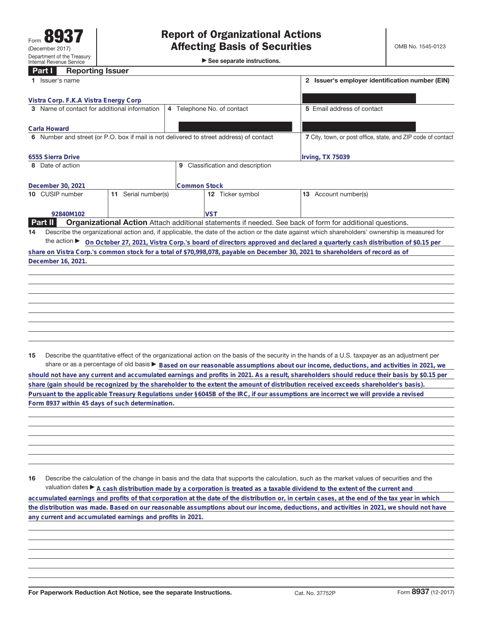►<br>► See separate instructions.

## **Part I Reporting Issuer**

| Issuer's name                                                                           | 2 Issuer's employer identification number (EIN) |                                                                                                                                                 |
|-----------------------------------------------------------------------------------------|-------------------------------------------------|-------------------------------------------------------------------------------------------------------------------------------------------------|
| Vistra Corp. F.K.A Vistra Energy Corp                                                   |                                                 |                                                                                                                                                 |
| 3 Name of contact for additional information                                            | 4 Telephone No. of contact                      | 5 Email address of contact                                                                                                                      |
| Carla Howard                                                                            |                                                 |                                                                                                                                                 |
| 6 Number and street (or P.O. box if mail is not delivered to street address) of contact |                                                 | 7 City, town, or post office, state, and ZIP code of contact                                                                                    |
| 6555 Sierra Drive                                                                       |                                                 | Irving, TX 75039                                                                                                                                |
| 8 Date of action                                                                        | Classification and description<br>9             |                                                                                                                                                 |
| December 30, 2021                                                                       | <b>Common Stock</b>                             |                                                                                                                                                 |
| 10 CUSIP number<br>Serial number(s)<br>11                                               | <b>12</b> Ticker symbol                         | 13 Account number(s)                                                                                                                            |
| 92840M102                                                                               | <b>VST</b>                                      |                                                                                                                                                 |
| <b>Part II</b>                                                                          |                                                 | <b>Organizational Action</b> Attach additional statements if needed. See back of form for additional questions.                                 |
| 14                                                                                      |                                                 | Describe the organizational action and, if applicable, the date of the action or the date against which shareholders' ownership is measured for |
| the action $\blacktriangleright$                                                        |                                                 | On October 27, 2021, Vistra Corp.'s board of directors approved and declared a quarterly cash distribution of \$0.15 per                        |
|                                                                                         |                                                 | share on Vistra Corp.'s common stock for a total of \$70,998,078, payable on December 30, 2021 to shareholders of record as of                  |
| December 16, 2021.                                                                      |                                                 |                                                                                                                                                 |
|                                                                                         |                                                 |                                                                                                                                                 |
|                                                                                         |                                                 |                                                                                                                                                 |
|                                                                                         |                                                 |                                                                                                                                                 |
|                                                                                         |                                                 |                                                                                                                                                 |

**15** Describe the quantitative effect of the organizational action on the basis of the security in the hands of a U.S. taxpayer as an adjustment per share or as a percentage of old basis  $\blacktriangleright$  Based on our reasonable assumptions about our income, deductions, and activities in 2021, we **should not have any current and accumulated earnings and profits in 2021. As a result, shareholders should reduce their basis by \$0.15 per share (gain should be recognized by the shareholder to the extent the amount of distribution received exceeds shareholder's basis).**

**Pursuant to the applicable Treasury Regulations under §6045B of the IRC, if our assumptions are incorrect we will provide a revised Form 8937 within 45 days of such determination.**

**16** Describe the calculation of the change in basis and the data that supports the calculation, such as the market values of securities and the valuation dates  $\blacktriangleright$  A cash distribution made by a corporation is treated as a taxable dividend to the extent of the current and **accumulated earnings and profits of that corporation at the date of the distribution or, in certain cases, at the end of the tax year in which the distribution was made. Based on our reasonable assumptions about our income, deductions, and activities in 2021, we should not have any current and accumulated earnings and profits in 2021.**